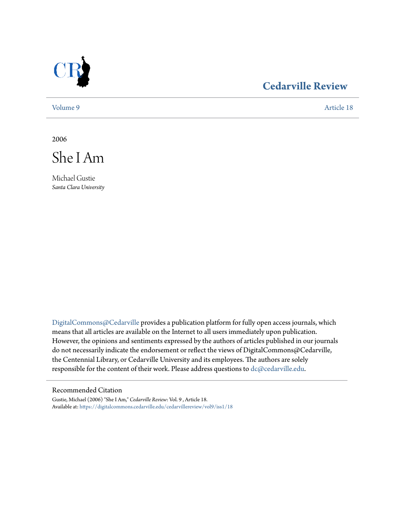

## **[Cedarville Review](https://digitalcommons.cedarville.edu/cedarvillereview?utm_source=digitalcommons.cedarville.edu%2Fcedarvillereview%2Fvol9%2Fiss1%2F18&utm_medium=PDF&utm_campaign=PDFCoverPages)**

[Volume 9](https://digitalcommons.cedarville.edu/cedarvillereview/vol9?utm_source=digitalcommons.cedarville.edu%2Fcedarvillereview%2Fvol9%2Fiss1%2F18&utm_medium=PDF&utm_campaign=PDFCoverPages) [Article 18](https://digitalcommons.cedarville.edu/cedarvillereview/vol9/iss1/18?utm_source=digitalcommons.cedarville.edu%2Fcedarvillereview%2Fvol9%2Fiss1%2F18&utm_medium=PDF&utm_campaign=PDFCoverPages)

2006



Michael Gustie *Santa Clara University*

[DigitalCommons@Cedarville](http://digitalcommons.cedarville.edu) provides a publication platform for fully open access journals, which means that all articles are available on the Internet to all users immediately upon publication. However, the opinions and sentiments expressed by the authors of articles published in our journals do not necessarily indicate the endorsement or reflect the views of DigitalCommons@Cedarville, the Centennial Library, or Cedarville University and its employees. The authors are solely responsible for the content of their work. Please address questions to [dc@cedarville.edu](mailto:dc@cedarville.edu).

### Recommended Citation

Gustie, Michael (2006) "She I Am," *Cedarville Review*: Vol. 9 , Article 18. Available at: [https://digitalcommons.cedarville.edu/cedarvillereview/vol9/iss1/18](https://digitalcommons.cedarville.edu/cedarvillereview/vol9/iss1/18?utm_source=digitalcommons.cedarville.edu%2Fcedarvillereview%2Fvol9%2Fiss1%2F18&utm_medium=PDF&utm_campaign=PDFCoverPages)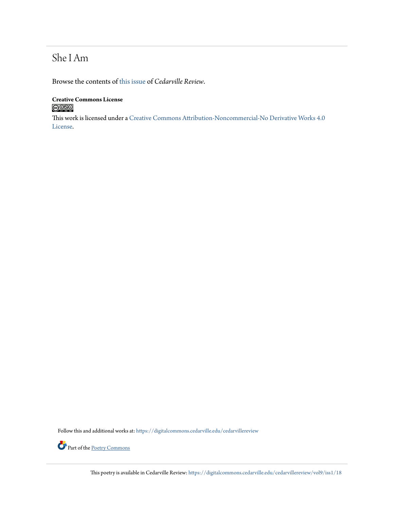# She I Am

Browse the contents of [this issue](https://digitalcommons.cedarville.edu/cedarvillereview/vol9/iss1) of *Cedarville Review*.

## **Creative Commons License**  $\bigcirc$  000

This work is licensed under a [Creative Commons Attribution-Noncommercial-No Derivative Works 4.0](http://creativecommons.org/licenses/by-nc-nd/4.0/) [License.](http://creativecommons.org/licenses/by-nc-nd/4.0/)

Follow this and additional works at: [https://digitalcommons.cedarville.edu/cedarvillereview](https://digitalcommons.cedarville.edu/cedarvillereview?utm_source=digitalcommons.cedarville.edu%2Fcedarvillereview%2Fvol9%2Fiss1%2F18&utm_medium=PDF&utm_campaign=PDFCoverPages)



This poetry is available in Cedarville Review: [https://digitalcommons.cedarville.edu/cedarvillereview/vol9/iss1/18](https://digitalcommons.cedarville.edu/cedarvillereview/vol9/iss1/18?utm_source=digitalcommons.cedarville.edu%2Fcedarvillereview%2Fvol9%2Fiss1%2F18&utm_medium=PDF&utm_campaign=PDFCoverPages)